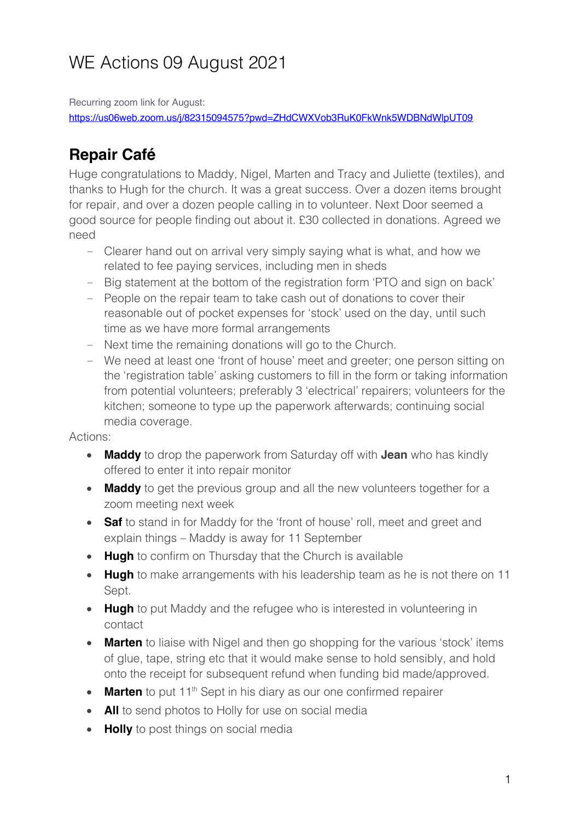# WE Actions 09 August 2021

Recurring zoom link for August:

https://us06web.zoom.us/j/82315094575?pwd=ZHdCWXVob3RuK0FkWnk5WDBNdWlpUT09

### **Repair Café**

Huge congratulations to Maddy, Nigel, Marten and Tracy and Juliette (textiles), and thanks to Hugh for the church. It was a great success. Over a dozen items brought for repair, and over a dozen people calling in to volunteer. Next Door seemed a good source for people finding out about it. £30 collected in donations. Agreed we need

- Clearer hand out on arrival very simply saying what is what, and how we related to fee paying services, including men in sheds
- Big statement at the bottom of the registration form 'PTO and sign on back'
- People on the repair team to take cash out of donations to cover their reasonable out of pocket expenses for 'stock' used on the day, until such time as we have more formal arrangements
- Next time the remaining donations will go to the Church.
- We need at least one 'front of house' meet and greeter; one person sitting on the 'registration table' asking customers to fill in the form or taking information from potential volunteers; preferably 3 'electrical' repairers; volunteers for the kitchen; someone to type up the paperwork afterwards; continuing social media coverage.

#### Actions:

- **Maddy** to drop the paperwork from Saturday off with **Jean** who has kindly offered to enter it into repair monitor
- **Maddy** to get the previous group and all the new volunteers together for a zoom meeting next week
- **Saf** to stand in for Maddy for the 'front of house' roll, meet and greet and explain things – Maddy is away for 11 September
- **Hugh** to confirm on Thursday that the Church is available
- **Hugh** to make arrangements with his leadership team as he is not there on 11 Sept.
- **Hugh** to put Maddy and the refugee who is interested in volunteering in contact
- **Marten** to liaise with Nigel and then go shopping for the various 'stock' items of glue, tape, string etc that it would make sense to hold sensibly, and hold onto the receipt for subsequent refund when funding bid made/approved.
- Marten to put 11<sup>th</sup> Sept in his diary as our one confirmed repairer
- **All** to send photos to Holly for use on social media
- **Holly** to post things on social media